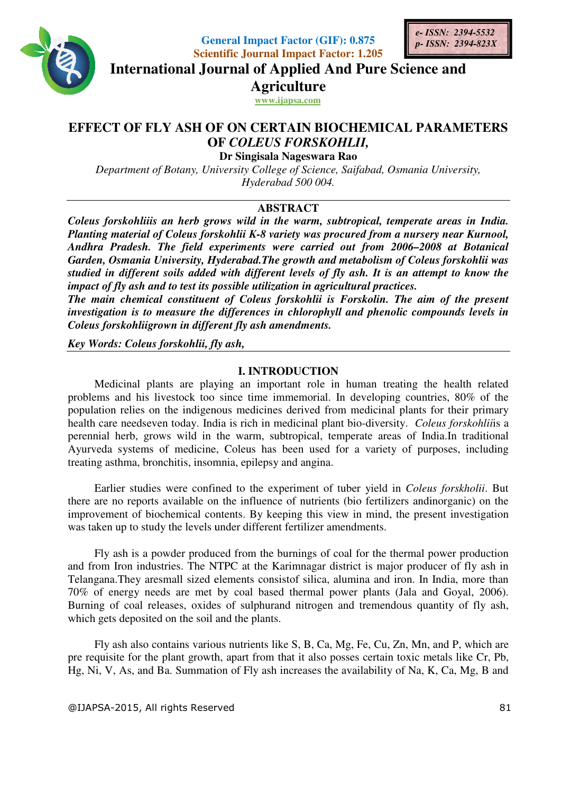

**General Impact Factor (GIF): 0.875 Scientific Journal Impact Factor: 1.205** 



**International Journal of Applied And Pure Science and International Journal Science Agriculture**

**www.ijapsa.com** 

# **EFFECT OF FLY ASH OF ON CERTAIN BIOCHEMICAL PARAMETERS OF**  *COLEUS FORSKOHLII,*

**Dr Singisala Nageswara Rao** 

Department of Botany, University College of Science, Saifabad, Osmania University, *Hyderabad 500 004.* 

# **ABSTRACT**

*Coleus forskohliiis an herb grows wild in the warm, subtropical, temperate areas in India. Planting material of Coleus forskohlii is in subtropical, in K-8 variety was procured from a nursery near Kurnool,*  Planting material of Coleus forskohlii K-8 variety was procured from a nursery near Kurnool,<br>Andhra Pradesh. The field experiments were carried out from 2006–2008 at Botanical Garden, Osmania University, Hyderabad. The growth and metabolism of Coleus forskohlii was *studied in different soils added with different levels of fly ash. It is an attempt to know the*  studied in different soils added with different levels of fly ash. It is an a*i*<br>impact of fly ash and to test its possible utilization in agricultural practices.

The main chemical constituent of Coleus forskohlii is Forskolin. The aim of the present *investigation is to measure the differences in chlorophyll and phenolic compounds levels in Coleus forskohliigrown in different fly ash amendments.* 

*Key Words: Coleus forskohlii, fly ash, , fly ash,*

#### **I. INTRODUCTION**

Medicinal plants are playing an important role in human treating the health related problems and his livestock too since time immemorial. In developing countries, 80% of the population relies on the indigenous medicines derived from medicinal plants for their primary population relies on the indigenous medicines derived from medicinal plants for their primary health care needseven today. India is rich in medicinal plant bio-diversity. *Coleus forskohlii*is a perennial herb, grows wild in the warm, subtropical, temperate areas of India.In traditional Ayurveda systems of medicine, Coleus has been used for a variety of purposes, including treating asthma, bronchitis, insomnia, epilepsy and angina.

treating asthma, bronchitis, insomnia, epilepsy and angina.<br>
Earlier studies were confined to the experiment of tuber yield in *Coleus forskholii*. But there are no reports available on the influence of nutrients (bio fertilizers andinorganic) on the improvement of biochemical contents. By keeping this view in mind, the present investigation was taken up to study the levels under different fertilizer amendments.

Fly ash is a powder produced from the burnings of coal for the thermal power production and from Iron industries. The NTPC at the Karimnagar district is major producer of fly ash in Telangana.They aresmall sized elements consistof silica, alumina and iron. In India, more than 70% of energy needs are met by coal based thermal power plants (Jala and Goyal, 2006). 70% of energy needs are met by coal based thermal power plants (Jala and Goyal, 2006).<br>Burning of coal releases, oxides of sulphurand nitrogen and tremendous quantity of fly ash, which gets deposited on the soil and the plants. the burnings of coal for the thermal power production<br>he Karimnagar district is major producer of fly ash in<br>consistof silica, alumina and iron. In India, more than<br>based thermal power plants (Jala and Goyal, 2006).<br>hhuran

Fly ash also contains various various nutrients like S, B, Ca, Mg, Fe, Cu, Zn, Mn, and P, which are pre requisite for the plant growth, apart from that it also posses certain toxic metals Hg, Ni, V, As, and Ba. Summation of Fly ash increases the availability of Na, K, Ca, Mg, B and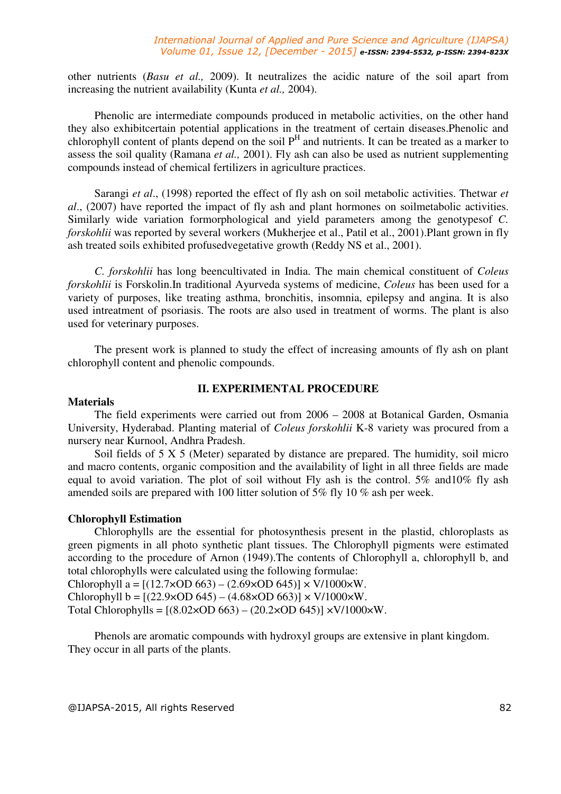other nutrients (*Basu et al.,* 2009). It neutralizes the acidic nature of the soil apart from increasing the nutrient availability (Kunta *et al.,* 2004).

Phenolic are intermediate compounds produced in metabolic activities, on the other hand they also exhibitcertain potential applications in the treatment of certain diseases.Phenolic and chlorophyll content of plants depend on the soil  $P<sup>H</sup>$  and nutrients. It can be treated as a marker to assess the soil quality (Ramana *et al.,* 2001). Fly ash can also be used as nutrient supplementing compounds instead of chemical fertilizers in agriculture practices.

Sarangi *et al*., (1998) reported the effect of fly ash on soil metabolic activities. Thetwar *et al*., (2007) have reported the impact of fly ash and plant hormones on soilmetabolic activities. Similarly wide variation formorphological and yield parameters among the genotypesof *C. forskohlii* was reported by several workers (Mukherjee et al., Patil et al., 2001).Plant grown in fly ash treated soils exhibited profusedvegetative growth (Reddy NS et al., 2001).

*C. forskohlii* has long beencultivated in India. The main chemical constituent of *Coleus forskohlii* is Forskolin.In traditional Ayurveda systems of medicine, *Coleus* has been used for a variety of purposes, like treating asthma, bronchitis, insomnia, epilepsy and angina. It is also used intreatment of psoriasis. The roots are also used in treatment of worms. The plant is also used for veterinary purposes.

The present work is planned to study the effect of increasing amounts of fly ash on plant chlorophyll content and phenolic compounds.

## **II. EXPERIMENTAL PROCEDURE**

#### **Materials**

The field experiments were carried out from 2006 – 2008 at Botanical Garden, Osmania University, Hyderabad. Planting material of *Coleus forskohlii* K-8 variety was procured from a nursery near Kurnool, Andhra Pradesh.

Soil fields of 5 X 5 (Meter) separated by distance are prepared. The humidity, soil micro and macro contents, organic composition and the availability of light in all three fields are made equal to avoid variation. The plot of soil without Fly ash is the control. 5% and10% fly ash amended soils are prepared with 100 litter solution of 5% fly 10 % ash per week.

#### **Chlorophyll Estimation**

Chlorophylls are the essential for photosynthesis present in the plastid, chloroplasts as green pigments in all photo synthetic plant tissues. The Chlorophyll pigments were estimated according to the procedure of Arnon (1949).The contents of Chlorophyll a, chlorophyll b, and total chlorophylls were calculated using the following formulae:

Chlorophyll a =  $[(12.7 \times OD 663) - (2.69 \times OD 645)] \times V/1000 \times W$ .

Chlorophyll b =  $[(22.9 \times OD 645) - (4.68 \times OD 663)] \times V/1000 \times W$ .

Total Chlorophylls =  $[(8.02 \times OD 663) - (20.2 \times OD 645)] \times V/1000 \times W$ .

Phenols are aromatic compounds with hydroxyl groups are extensive in plant kingdom. They occur in all parts of the plants.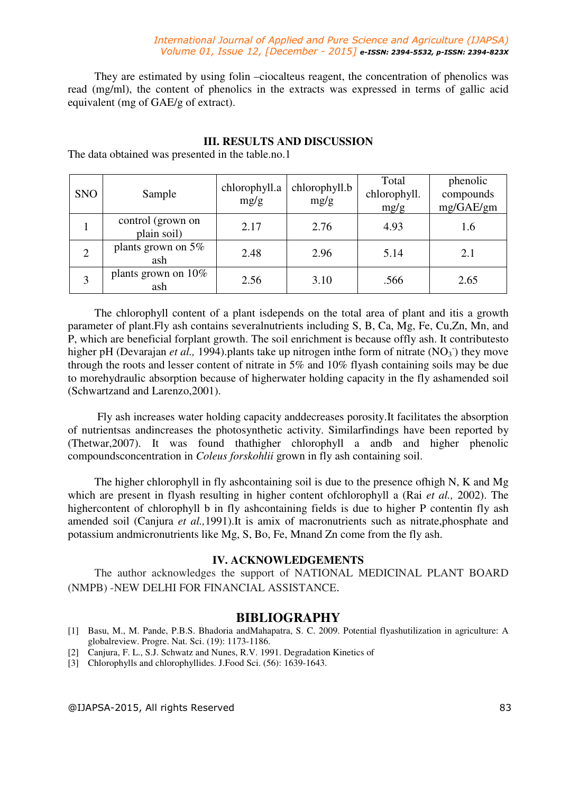#### *International Journal of Applied and Pure Science and Agriculture (IJAPSA) Volume 01, Issue 12, [December - 2015] e-ISSN: 2394-5532, p-ISSN: 2394-823X*

They are estimated by using folin –ciocalteus reagent, the concentration of phenolics was read (mg/ml), the content of phenolics in the extracts was expressed in terms of gallic acid equivalent (mg of GAE/g of extract).

| <b>SNO</b> | Sample                           | chlorophyll.a<br>mg/g | chlorophyll.b<br>mg/g | Total<br>chlorophyll.<br>mg/g | phenolic<br>compounds<br>mg/GAE/gm |
|------------|----------------------------------|-----------------------|-----------------------|-------------------------------|------------------------------------|
|            | control (grown on<br>plain soil) | 2.17                  | 2.76                  | 4.93                          | 1.6                                |
|            | plants grown on $5\%$<br>ash     | 2.48                  | 2.96                  | 5.14                          | 2.1                                |
|            | plants grown on 10%<br>ash       | 2.56                  | 3.10                  | .566                          | 2.65                               |

# **III. RESULTS AND DISCUSSION**

The data obtained was presented in the table.no.1

The chlorophyll content of a plant isdepends on the total area of plant and itis a growth parameter of plant.Fly ash contains severalnutrients including S, B, Ca, Mg, Fe, Cu,Zn, Mn, and P, which are beneficial forplant growth. The soil enrichment is because offly ash. It contributesto higher pH (Devarajan *et al.*, 1994). plants take up nitrogen inthe form of nitrate (NO<sub>3</sub>) they move through the roots and lesser content of nitrate in 5% and 10% flyash containing soils may be due to morehydraulic absorption because of higherwater holding capacity in the fly ashamended soil (Schwartzand and Larenzo,2001).

 Fly ash increases water holding capacity anddecreases porosity.It facilitates the absorption of nutrientsas andincreases the photosynthetic activity. Similarfindings have been reported by (Thetwar,2007). It was found thathigher chlorophyll a andb and higher phenolic compoundsconcentration in *Coleus forskohlii* grown in fly ash containing soil.

The higher chlorophyll in fly ashcontaining soil is due to the presence ofhigh N, K and Mg which are present in flyash resulting in higher content ofchlorophyll a (Rai *et al.,* 2002). The highercontent of chlorophyll b in fly ashcontaining fields is due to higher P contentin fly ash amended soil (Canjura *et al.,*1991).It is amix of macronutrients such as nitrate,phosphate and potassium andmicronutrients like Mg, S, Bo, Fe, Mnand Zn come from the fly ash.

#### **IV. ACKNOWLEDGEMENTS**

The author acknowledges the support of NATIONAL MEDICINAL PLANT BOARD (NMPB) -NEW DELHI FOR FINANCIAL ASSISTANCE.

## **BIBLIOGRAPHY**

- [1] Basu, M., M. Pande, P.B.S. Bhadoria andMahapatra, S. C. 2009. Potential flyashutilization in agriculture: A globalreview. Progre. Nat. Sci. (19): 1173-1186.
- [2] Canjura, F. L., S.J. Schwatz and Nunes, R.V. 1991. Degradation Kinetics of
- [3] Chlorophylls and chlorophyllides. J.Food Sci. (56): 1639-1643.